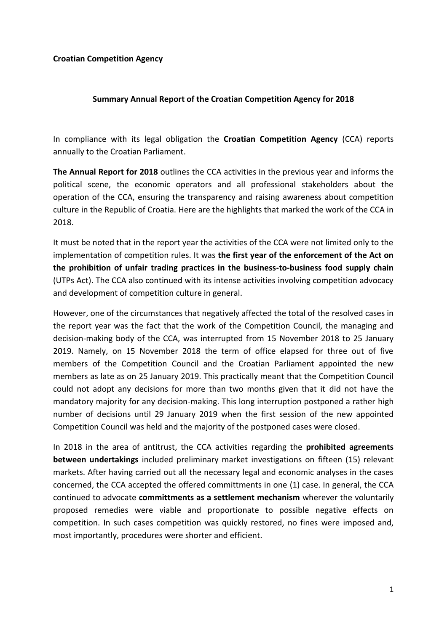## **Croatian Competition Agency**

## **Summary Annual Report of the Croatian Competition Agency for 2018**

In compliance with its legal obligation the **Croatian Competition Agency** (CCA) reports annually to the Croatian Parliament.

**The Annual Report for 2018** outlines the CCA activities in the previous year and informs the political scene, the economic operators and all professional stakeholders about the operation of the CCA, ensuring the transparency and raising awareness about competition culture in the Republic of Croatia. Here are the highlights that marked the work of the CCA in 2018.

It must be noted that in the report year the activities of the CCA were not limited only to the implementation of competition rules. It was **the first year of the enforcement of the Act on the prohibition of unfair trading practices in the business-to-business food supply chain** (UTPs Act). The CCA also continued with its intense activities involving competition advocacy and development of competition culture in general.

However, one of the circumstances that negatively affected the total of the resolved cases in the report year was the fact that the work of the Competition Council, the managing and decision-making body of the CCA, was interrupted from 15 November 2018 to 25 January 2019. Namely, on 15 November 2018 the term of office elapsed for three out of five members of the Competition Council and the Croatian Parliament appointed the new members as late as on 25 January 2019. This practically meant that the Competition Council could not adopt any decisions for more than two months given that it did not have the mandatory majority for any decision-making. This long interruption postponed a rather high number of decisions until 29 January 2019 when the first session of the new appointed Competition Council was held and the majority of the postponed cases were closed.

In 2018 in the area of antitrust, the CCA activities regarding the **prohibited agreements between undertakings** included preliminary market investigations on fifteen (15) relevant markets. After having carried out all the necessary legal and economic analyses in the cases concerned, the CCA accepted the offered committments in one (1) case. In general, the CCA continued to advocate **committments as a settlement mechanism** wherever the voluntarily proposed remedies were viable and proportionate to possible negative effects on competition. In such cases competition was quickly restored, no fines were imposed and, most importantly, procedures were shorter and efficient.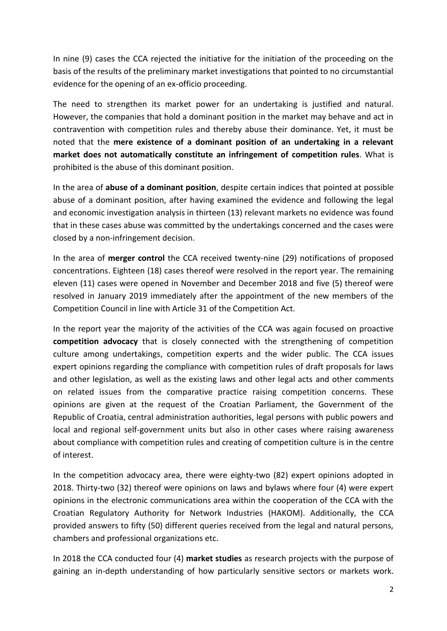In nine (9) cases the CCA rejected the initiative for the initiation of the proceeding on the basis of the results of the preliminary market investigations that pointed to no circumstantial evidence for the opening of an ex-officio proceeding.

The need to strengthen its market power for an undertaking is justified and natural. However, the companies that hold a dominant position in the market may behave and act in contravention with competition rules and thereby abuse their dominance. Yet, it must be noted that the **mere existence of a dominant position of an undertaking in a relevant market does not automatically constitute an infringement of competition rules**. What is prohibited is the abuse of this dominant position.

In the area of **abuse of a dominant position**, despite certain indices that pointed at possible abuse of a dominant position, after having examined the evidence and following the legal and economic investigation analysis in thirteen (13) relevant markets no evidence was found that in these cases abuse was committed by the undertakings concerned and the cases were closed by a non-infringement decision.

In the area of **merger control** the CCA received twenty-nine (29) notifications of proposed concentrations. Eighteen (18) cases thereof were resolved in the report year. The remaining eleven (11) cases were opened in November and December 2018 and five (5) thereof were resolved in January 2019 immediately after the appointment of the new members of the Competition Council in line with Article 31 of the Competition Act.

In the report year the majority of the activities of the CCA was again focused on proactive **competition advocacy** that is closely connected with the strengthening of competition culture among undertakings, competition experts and the wider public. The CCA issues expert opinions regarding the compliance with competition rules of draft proposals for laws and other legislation, as well as the existing laws and other legal acts and other comments on related issues from the comparative practice raising competition concerns. These opinions are given at the request of the Croatian Parliament, the Government of the Republic of Croatia, central administration authorities, legal persons with public powers and local and regional self-government units but also in other cases where raising awareness about compliance with competition rules and creating of competition culture is in the centre of interest.

In the competition advocacy area, there were eighty-two (82) expert opinions adopted in 2018. Thirty-two (32) thereof were opinions on laws and bylaws where four (4) were expert opinions in the electronic communications area within the cooperation of the CCA with the Croatian Regulatory Authority for Network Industries (HAKOM). Additionally, the CCA provided answers to fifty (50) different queries received from the legal and natural persons, chambers and professional organizations etc.

In 2018 the CCA conducted four (4) **market studies** as research projects with the purpose of gaining an in-depth understanding of how particularly sensitive sectors or markets work.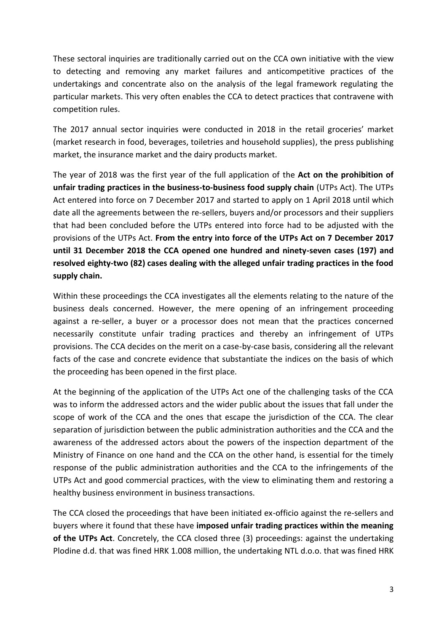These sectoral inquiries are traditionally carried out on the CCA own initiative with the view to detecting and removing any market failures and anticompetitive practices of the undertakings and concentrate also on the analysis of the legal framework regulating the particular markets. This very often enables the CCA to detect practices that contravene with competition rules.

The 2017 annual sector inquiries were conducted in 2018 in the retail groceries' market (market research in food, beverages, toiletries and household supplies), the press publishing market, the insurance market and the dairy products market.

The year of 2018 was the first year of the full application of the **Act on the prohibition of unfair trading practices in the business-to-business food supply chain** (UTPs Act). The UTPs Act entered into force on 7 December 2017 and started to apply on 1 April 2018 until which date all the agreements between the re-sellers, buyers and/or processors and their suppliers that had been concluded before the UTPs entered into force had to be adjusted with the provisions of the UTPs Act. **From the entry into force of the UTPs Act on 7 December 2017 until 31 December 2018 the CCA opened one hundred and ninety-seven cases (197) and resolved eighty-two (82) cases dealing with the alleged unfair trading practices in the food supply chain.** 

Within these proceedings the CCA investigates all the elements relating to the nature of the business deals concerned. However, the mere opening of an infringement proceeding against a re-seller, a buyer or a processor does not mean that the practices concerned necessarily constitute unfair trading practices and thereby an infringement of UTPs provisions. The CCA decides on the merit on a case-by-case basis, considering all the relevant facts of the case and concrete evidence that substantiate the indices on the basis of which the proceeding has been opened in the first place.

At the beginning of the application of the UTPs Act one of the challenging tasks of the CCA was to inform the addressed actors and the wider public about the issues that fall under the scope of work of the CCA and the ones that escape the jurisdiction of the CCA. The clear separation of jurisdiction between the public administration authorities and the CCA and the awareness of the addressed actors about the powers of the inspection department of the Ministry of Finance on one hand and the CCA on the other hand, is essential for the timely response of the public administration authorities and the CCA to the infringements of the UTPs Act and good commercial practices, with the view to eliminating them and restoring a healthy business environment in business transactions.

The CCA closed the proceedings that have been initiated ex-officio against the re-sellers and buyers where it found that these have **imposed unfair trading practices within the meaning of the UTPs Act**. Concretely, the CCA closed three (3) proceedings: against the undertaking Plodine d.d. that was fined HRK 1.008 million, the undertaking NTL d.o.o. that was fined HRK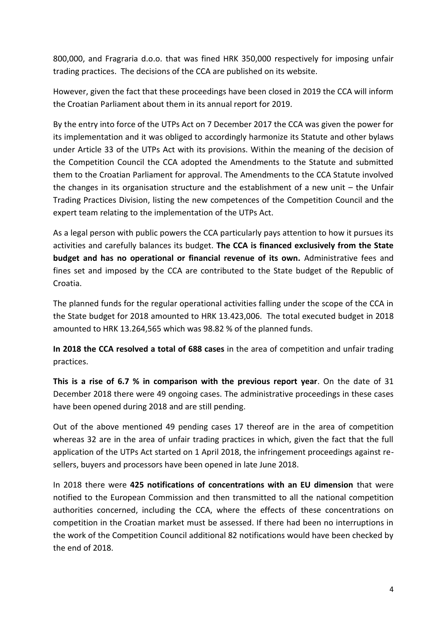800,000, and Fragraria d.o.o. that was fined HRK 350,000 respectively for imposing unfair trading practices. The decisions of the CCA are published on its website.

However, given the fact that these proceedings have been closed in 2019 the CCA will inform the Croatian Parliament about them in its annual report for 2019.

By the entry into force of the UTPs Act on 7 December 2017 the CCA was given the power for its implementation and it was obliged to accordingly harmonize its Statute and other bylaws under Article 33 of the UTPs Act with its provisions. Within the meaning of the decision of the Competition Council the CCA adopted the Amendments to the Statute and submitted them to the Croatian Parliament for approval. The Amendments to the CCA Statute involved the changes in its organisation structure and the establishment of a new unit – the Unfair Trading Practices Division, listing the new competences of the Competition Council and the expert team relating to the implementation of the UTPs Act.

As a legal person with public powers the CCA particularly pays attention to how it pursues its activities and carefully balances its budget. **The CCA is financed exclusively from the State budget and has no operational or financial revenue of its own.** Administrative fees and fines set and imposed by the CCA are contributed to the State budget of the Republic of Croatia.

The planned funds for the regular operational activities falling under the scope of the CCA in the State budget for 2018 amounted to HRK 13.423,006. The total executed budget in 2018 amounted to HRK 13.264,565 which was 98.82 % of the planned funds.

**In 2018 the CCA resolved a total of 688 cases** in the area of competition and unfair trading practices.

**This is a rise of 6.7 % in comparison with the previous report year**. On the date of 31 December 2018 there were 49 ongoing cases. The administrative proceedings in these cases have been opened during 2018 and are still pending.

Out of the above mentioned 49 pending cases 17 thereof are in the area of competition whereas 32 are in the area of unfair trading practices in which, given the fact that the full application of the UTPs Act started on 1 April 2018, the infringement proceedings against resellers, buyers and processors have been opened in late June 2018.

In 2018 there were **425 notifications of concentrations with an EU dimension** that were notified to the European Commission and then transmitted to all the national competition authorities concerned, including the CCA, where the effects of these concentrations on competition in the Croatian market must be assessed. If there had been no interruptions in the work of the Competition Council additional 82 notifications would have been checked by the end of 2018.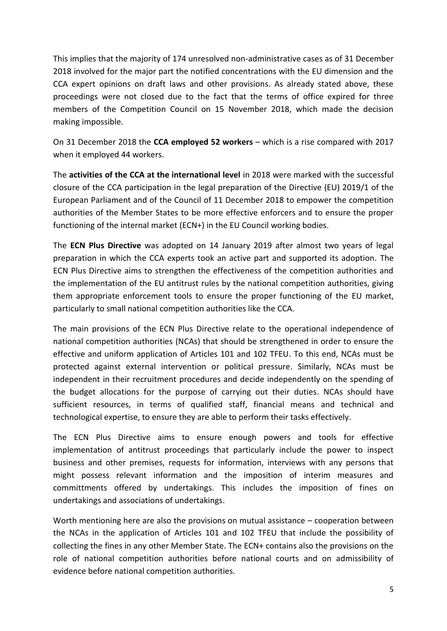This implies that the majority of 174 unresolved non-administrative cases as of 31 December 2018 involved for the major part the notified concentrations with the EU dimension and the CCA expert opinions on draft laws and other provisions. As already stated above, these proceedings were not closed due to the fact that the terms of office expired for three members of the Competition Council on 15 November 2018, which made the decision making impossible.

On 31 December 2018 the **CCA employed 52 workers** – which is a rise compared with 2017 when it employed 44 workers.

The **activities of the CCA at the international level** in 2018 were marked with the successful closure of the CCA participation in the legal preparation of the Directive (EU) 2019/1 of the European Parliament and of the Council of 11 December 2018 to empower the competition authorities of the Member States to be more effective enforcers and to ensure the proper functioning of the internal market (ECN+) in the EU Council working bodies.

The **ECN Plus Directive** was adopted on 14 January 2019 after almost two years of legal preparation in which the CCA experts took an active part and supported its adoption. The ECN Plus Directive aims to strengthen the effectiveness of the competition authorities and the implementation of the EU antitrust rules by the national competition authorities, giving them appropriate enforcement tools to ensure the proper functioning of the EU market, particularly to small national competition authorities like the CCA.

The main provisions of the ECN Plus Directive relate to the operational independence of national competition authorities (NCAs) that should be strengthened in order to ensure the effective and uniform application of Articles 101 and 102 TFEU. To this end, NCAs must be protected against external intervention or political pressure. Similarly, NCAs must be independent in their recruitment procedures and decide independently on the spending of the budget allocations for the purpose of carrying out their duties. NCAs should have sufficient resources, in terms of qualified staff, financial means and technical and technological expertise, to ensure they are able to perform their tasks effectively.

The ECN Plus Directive aims to ensure enough powers and tools for effective implementation of antitrust proceedings that particularly include the power to inspect business and other premises, requests for information, interviews with any persons that might possess relevant information and the imposition of interim measures and committments offered by undertakings. This includes the imposition of fines on undertakings and associations of undertakings.

Worth mentioning here are also the provisions on mutual assistance – cooperation between the NCAs in the application of Articles 101 and 102 TFEU that include the possibility of collecting the fines in any other Member State. The ECN+ contains also the provisions on the role of national competition authorities before national courts and on admissibility of evidence before national competition authorities.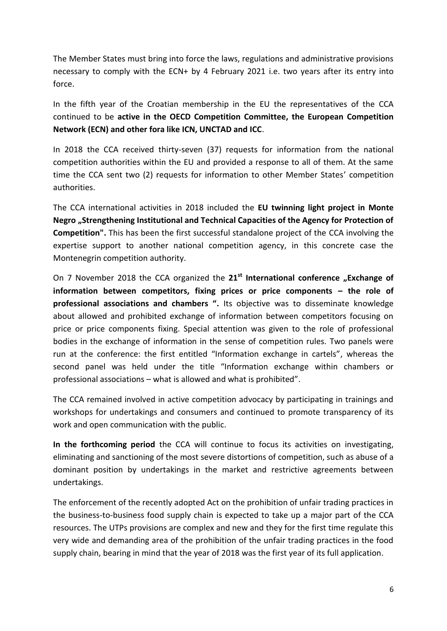The Member States must bring into force the laws, regulations and administrative provisions necessary to comply with the ECN+ by 4 February 2021 i.e. two years after its entry into force.

In the fifth year of the Croatian membership in the EU the representatives of the CCA continued to be **active in the OECD Competition Committee, the European Competition Network (ECN) and other fora like ICN, UNCTAD and ICC**.

In 2018 the CCA received thirty-seven (37) requests for information from the national competition authorities within the EU and provided a response to all of them. At the same time the CCA sent two (2) requests for information to other Member States' competition authorities.

The CCA international activities in 2018 included the **EU twinning light project in Monte Negro "Strengthening Institutional and Technical Capacities of the Agency for Protection of Competition".** This has been the first successful standalone project of the CCA involving the expertise support to another national competition agency, in this concrete case the Montenegrin competition authority.

On 7 November 2018 the CCA organized the 21<sup>st</sup> International conference "Exchange of **information between competitors, fixing prices or price components – the role of professional associations and chambers ".** Its objective was to disseminate knowledge about allowed and prohibited exchange of information between competitors focusing on price or price components fixing. Special attention was given to the role of professional bodies in the exchange of information in the sense of competition rules. Two panels were run at the conference: the first entitled "Information exchange in cartels", whereas the second panel was held under the title "Information exchange within chambers or professional associations – what is allowed and what is prohibited".

The CCA remained involved in active competition advocacy by participating in trainings and workshops for undertakings and consumers and continued to promote transparency of its work and open communication with the public.

**In the forthcoming period** the CCA will continue to focus its activities on investigating, eliminating and sanctioning of the most severe distortions of competition, such as abuse of a dominant position by undertakings in the market and restrictive agreements between undertakings.

The enforcement of the recently adopted Act on the prohibition of unfair trading practices in the business-to-business food supply chain is expected to take up a major part of the CCA resources. The UTPs provisions are complex and new and they for the first time regulate this very wide and demanding area of the prohibition of the unfair trading practices in the food supply chain, bearing in mind that the year of 2018 was the first year of its full application.